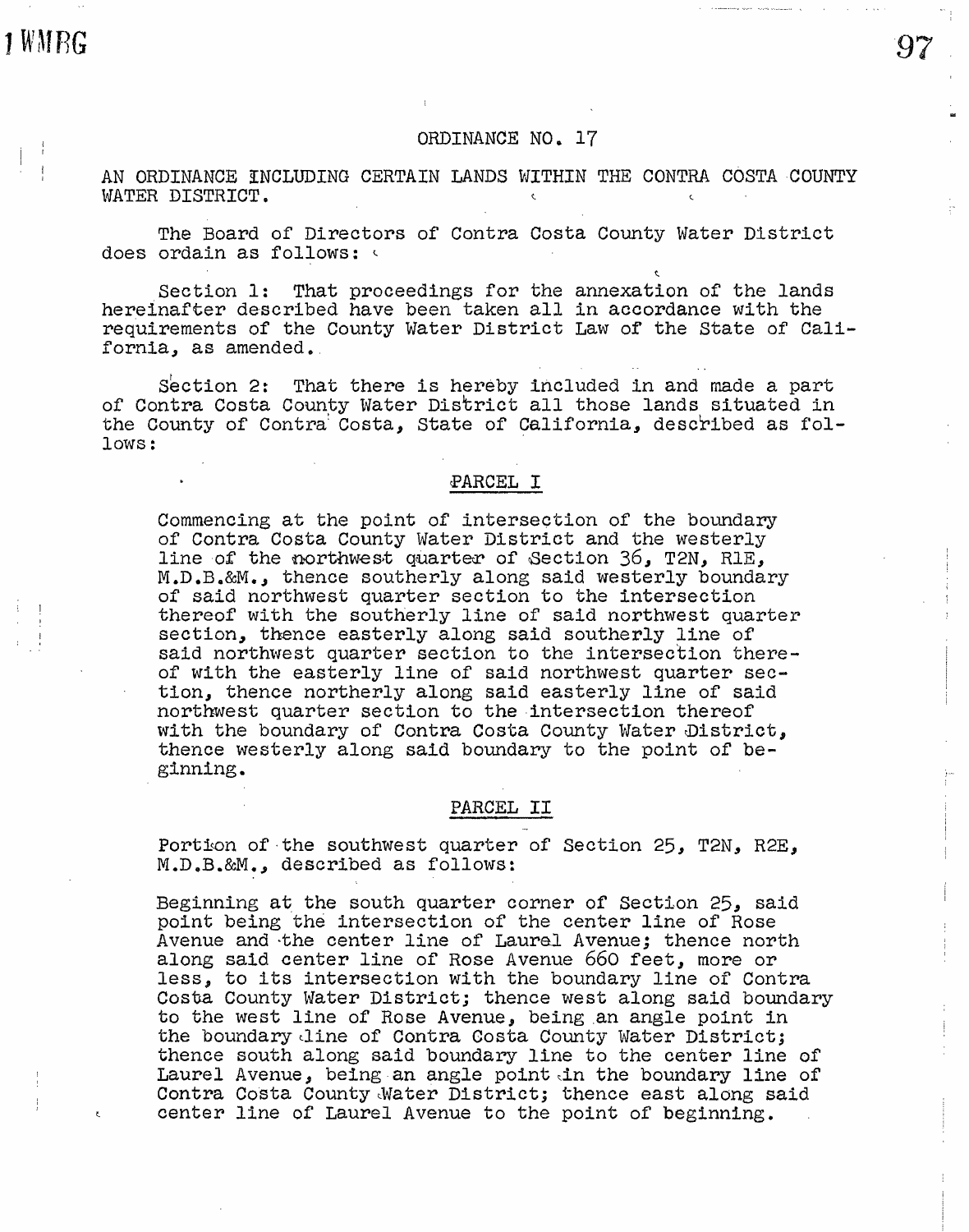# ORDINANCE NO. 17

AN ORDINANCE INCLUDING CERTAIN LANDS WITHIN THE CONTRA COSTA COUNTY WATER DISTRICT.

The Board of Directors of Contra Costa County Water District does ordain as follows:

Section 1: That proceedings for the annexation of the lands hereinafter described have been taken all in accordance with the requirements of the County Water District Law of the State of California, as amended.

Section 2: That there is hereby included in and made a part of Contra Costa County Water District all those lands situated in the County of Contra Costa, State of California, described as fol-<br>lows: lows:

#### ~ARCEL I

Commencing at the point of intersection of the boundary of Contra Costa County Water District and the westerly line of the northwest quarter of Section 36, T2N, RlE, M.D.B.&M., thence southerly along said westerly boundary of said northwest quarter section to the intersection thereof with the southerly line of said northwest quarter section, thence easterly along said southerly line of said northwest quarter section to the intersection thereof with the easterly line of said northwest quarter section, thence northerly along said easterly line of said northwest quarter section to the intersection thereof with the boundary of Contra Costa County Water District, thence westerly along said boundary to the point of beginning.

## PARCEL II

Portion of the southwest quarter of Section 25, T2N, R2E, M.D.B.&M., described as follows:

Beginning at the south quarter corner of Section 25, said point being the intersection of the center line of Rose Avenue and ·the center line of Laural Avenue; thence north along said center line of Rose Avenue 660 feet, more or less, to its intersection with the boundary line of Contra Costa County Water District; thence west along said boundary to the west line of Rose Avenue, being .an angle point in the boundary line of Contra Costa County Water District; thence south along said boundary line to the center line of Laurel Avenue, being an angle point in the boundary line of Contra Costa County Water District; thence east along said center line of Laurel Avenue to the point of beginning.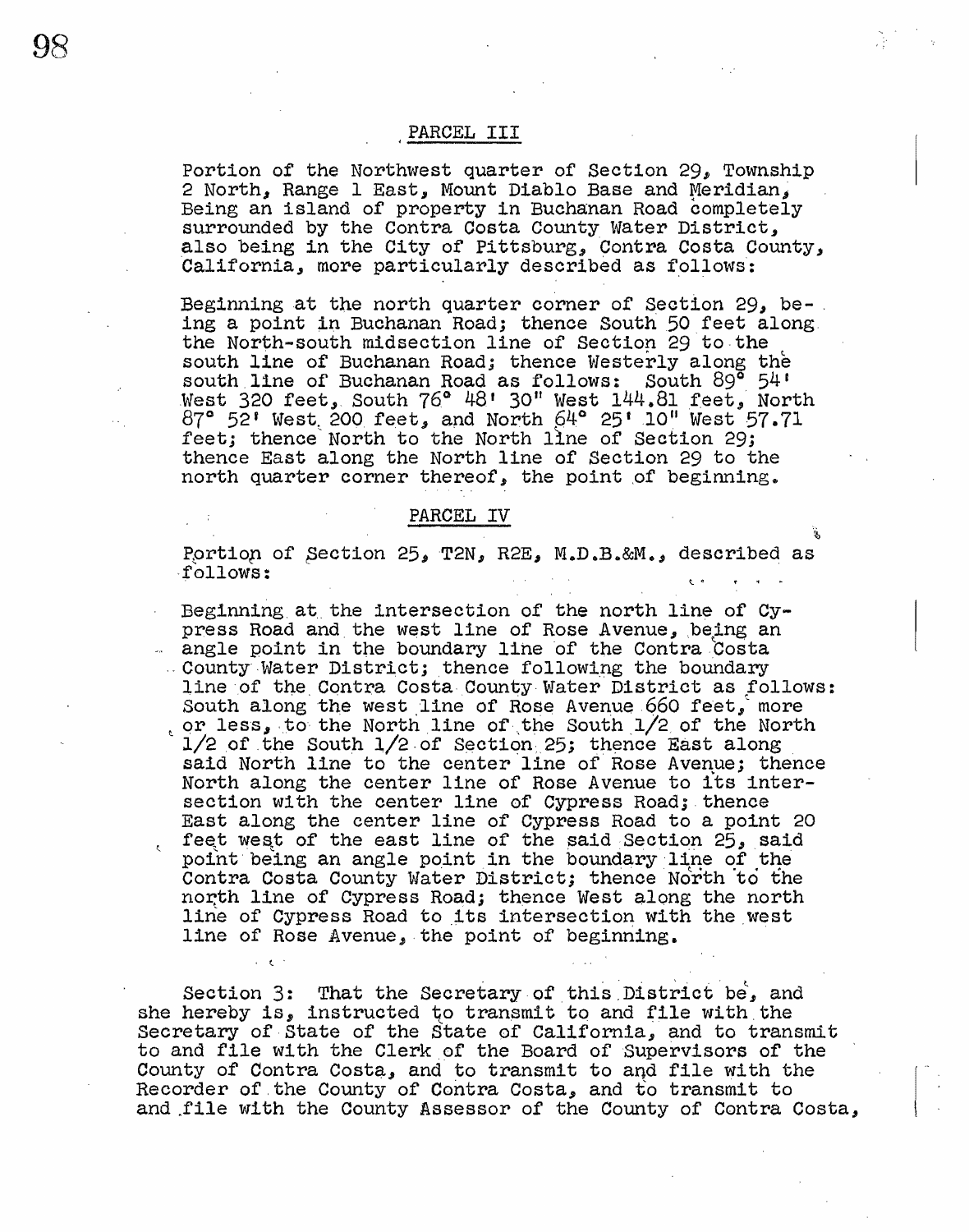PARCEL III

Portion of the Northwest quarter of Section 29, Township 2 North, Range 1 East, Mount Diablo Base and Meridian, Being an island of property in Buchanan Road completely surrounded by the Contra Costa County Water District, also being in the City of Pittsburg, Contra Costa County, California, more particularly described as follows:

Beginning at the north quarter corner of Section 29, being a point in Buchanan Road; thence South 50 feet along the North-south midsection line of Section 29 to the south line of Buchanan Road; thence Westerly along the south line of Buchanan Road as follows: South 89° 54' West 320 feet, South 76° 48' 30" West 144.81 feet. North 87° 52' West 200 feet, and North 64° 25' 10" West 57.71 feet; thence North to the North line of Section 29; thence East along the North line of Section 29 to the north quarter corner thereof, the point of beginning.

### PARCEL IV

Portion of Section 25, T2N, R2E, M.D.B.&M., described as follows:

Beginning at the intersection of the north line of Cypress Road and the west line of Rose Avenue, being an angle point in the boundary line of the Contra Costa County Water District; thence following the boundary line of the Contra Costa County Water District as follows: South along the west line of Rose Avenue 660 feet, more or less, to the North line of the South 1/2 of the North  $1/2$  of the South  $1/2$  of Section 25; thence East along said North line to the center line of Rose Avenue; thence North along the center line of Rose Avenue to its intersection with the center line of Cypress Road; thence East along the center line of Cypress Road to a point 20 feet west of the east line of the said Section 25, said point being an angle point in the boundary line of the Contra Costa County Water District; thence North to the north line of Cypress Road; thence West along the north line of Cypress Road to its intersection with the west line of Rose Avenue, the point of beginning.

Section 3: That the Secretary of this District be, and she hereby is, instructed to transmit to and file with the Secretary of State of the State of California, and to transmit to and file with the Clerk of the Board of Supervisors of the County of Contra Costa, and to transmit to and file with the Recorder of the County of Contra Costa, and to transmit to and file with the County Assessor of the County of Contra Costa,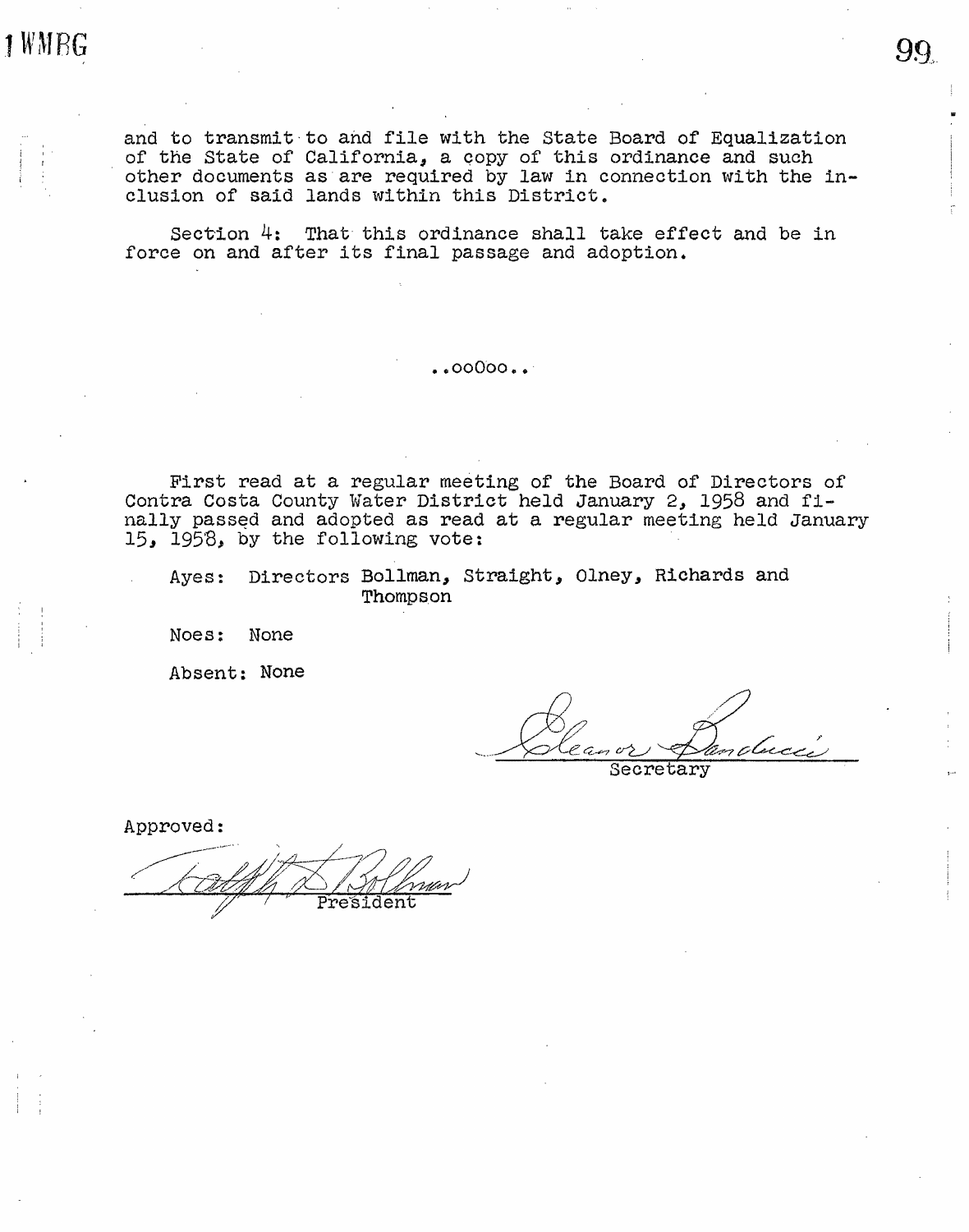1 WMRG

I ' r

and to transmit-to and file with the State Board of Equalization of the State of California, a qopy of this ordinance and such other documents as·are required by law in connection with the inclusion of said lands within this District.

Section  $4$ : That this ordinance shall take effect and be in force on and after its final passage and adoption.

• • ooOoo •• ·

First read at a regular meeting of the Board of Directors of Contra Costa County Water District held January 2, 1958 and finally passed and adopted as read at a regular meeting held January 15, 1958, by the following vote:

Ayes: Directors Bollman, Straight, Olney, Richards and Thomps.on

Noes: None

Absent: None

99.,.

Secretary

Approved: President